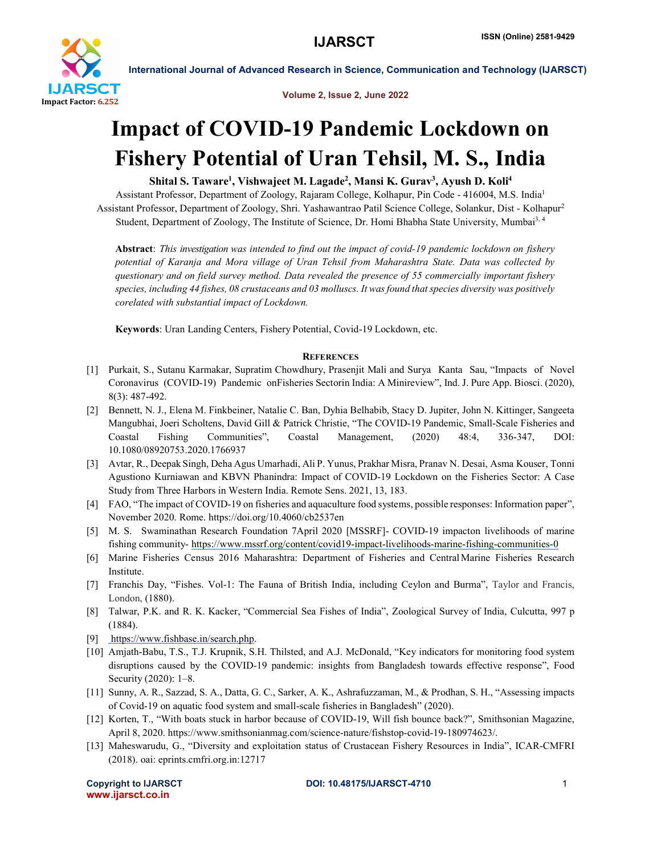

International Journal of Advanced Research in Science, Communication and Technology (IJARSCT)

Volume 2, Issue 2, June 2022

## Impact of COVID-19 Pandemic Lockdown on Fishery Potential of Uran Tehsil, M. S., India

## Shital S. Taware<sup>1</sup>, Vishwajeet M. Lagade<sup>2</sup>, Mansi K. Gurav<sup>3</sup>, Ayush D. Koli<sup>4</sup>

Assistant Professor, Department of Zoology, Rajaram College, Kolhapur, Pin Code - 416004, M.S. India<sup>1</sup> Assistant Professor, Department of Zoology, Shri. Yashawantrao Patil Science College, Solankur, Dist - Kolhapur2 Student, Department of Zoology, The Institute of Science, Dr. Homi Bhabha State University, Mumbai3, 4

Abstract: *This investigation was intended to find out the impact of covid-19 pandemic lockdown on fishery potential of Karanja and Mora village of Uran Tehsil from Maharashtra State. Data was collected by questionary and on field survey method. Data revealed the presence of 55 commercially important fishery species, including 44 fishes, 08 crustaceans and 03 molluscs. It was found that species diversity was positively corelated with substantial impact of Lockdown.*

Keywords: Uran Landing Centers, Fishery Potential, Covid-19 Lockdown, etc.

## **REFERENCES**

- [1] Purkait, S., Sutanu Karmakar, Supratim Chowdhury, Prasenjit Mali and Surya Kanta Sau, "Impacts of Novel Coronavirus (COVID-19) Pandemic onFisheries Sectorin India: A Minireview", Ind. J. Pure App. Biosci. (2020), 8(3): 487-492.
- [2] Bennett, N. J., Elena M. Finkbeiner, Natalie C. Ban, Dyhia Belhabib, Stacy D. Jupiter, John N. Kittinger, Sangeeta Mangubhai, Joeri Scholtens, David Gill & Patrick Christie, "The COVID-19 Pandemic, Small-Scale Fisheries and Coastal Fishing Communities", Coastal Management, (2020) 48:4, 336-347, DOI: 10.1080/08920753.2020.1766937
- [3] Avtar, R., Deepak Singh, Deha Agus Umarhadi, Ali P. Yunus, Prakhar Misra, Pranav N. Desai, Asma Kouser, Tonni Agustiono Kurniawan and KBVN Phanindra: Impact of COVID-19 Lockdown on the Fisheries Sector: A Case Study from Three Harbors in Western India. Remote Sens. 2021, 13, 183.
- [4] FAO, "The impact of COVID-19 on fisheries and aquaculture food systems, possible responses: Information paper", November 2020. Rome. https://doi.org/10.4060/cb2537en
- [5] M. S. Swaminathan Research Foundation 7April 2020 [MSSRF]- COVID-19 impacton livelihoods of marine fishing community- https://www.mssrf.org/content/covid19-impact-livelihoods-marine-fishing-communities-0
- [6] Marine Fisheries Census 2016 Maharashtra: Department of Fisheries and CentralMarine Fisheries Research Institute.
- [7] Franchis Day, "Fishes. Vol-1: The Fauna of British India, including Ceylon and Burma", Taylor and Francis, London, (1880).
- [8] Talwar, P.K. and R. K. Kacker, "Commercial Sea Fishes of India", Zoological Survey of India, Culcutta, 997 p (1884).
- [9] https://www.fishbase.in/search.php.
- [10] Amjath-Babu, T.S., T.J. Krupnik, S.H. Thilsted, and A.J. McDonald, "Key indicators for monitoring food system disruptions caused by the COVID-19 pandemic: insights from Bangladesh towards effective response", Food Security (2020): 1–8.
- [11] Sunny, A. R., Sazzad, S. A., Datta, G. C., Sarker, A. K., Ashrafuzzaman, M., & Prodhan, S. H., "Assessing impacts of Covid-19 on aquatic food system and small-scale fisheries in Bangladesh" (2020).
- [12] Korten, T., "With boats stuck in harbor because of COVID-19, Will fish bounce back?", Smithsonian Magazine, April 8, 2020. https://www.smithsonianmag.com/science-nature/fishstop-covid-19-180974623/.
- [13] Maheswarudu, G., "Diversity and exploitation status of Crustacean Fishery Resources in India", ICAR-CMFRI (2018). oai: eprints.cmfri.org.in:12717

www.ijarsct.co.in